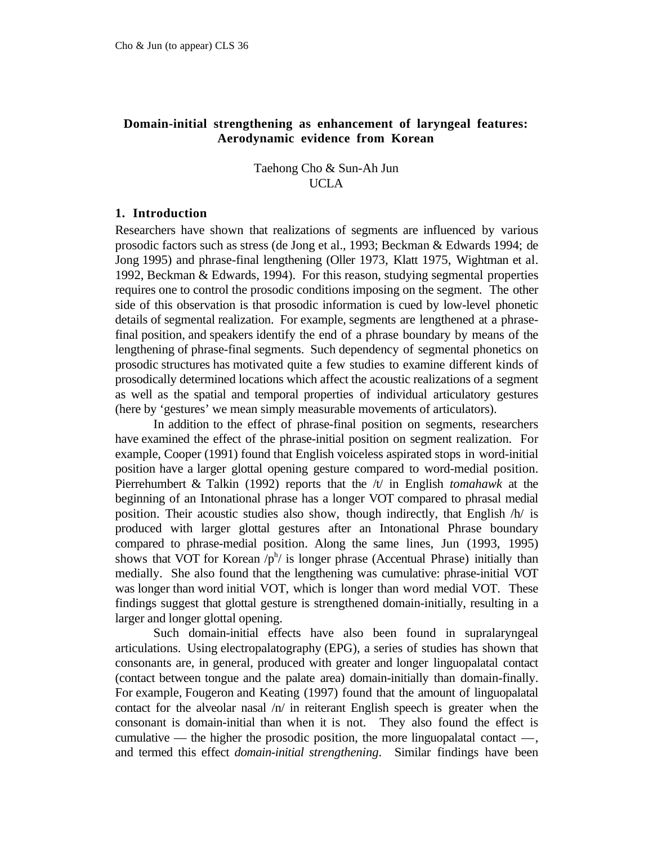# **Domain-initial strengthening as enhancement of laryngeal features: Aerodynamic evidence from Korean**

Taehong Cho & Sun-Ah Jun UCLA

# **1. Introduction**

Researchers have shown that realizations of segments are influenced by various prosodic factors such as stress (de Jong et al., 1993; Beckman & Edwards 1994; de Jong 1995) and phrase-final lengthening (Oller 1973, Klatt 1975, Wightman et al. 1992, Beckman & Edwards, 1994). For this reason, studying segmental properties requires one to control the prosodic conditions imposing on the segment. The other side of this observation is that prosodic information is cued by low-level phonetic details of segmental realization. For example, segments are lengthened at a phrasefinal position, and speakers identify the end of a phrase boundary by means of the lengthening of phrase-final segments. Such dependency of segmental phonetics on prosodic structures has motivated quite a few studies to examine different kinds of prosodically determined locations which affect the acoustic realizations of a segment as well as the spatial and temporal properties of individual articulatory gestures (here by 'gestures' we mean simply measurable movements of articulators).

In addition to the effect of phrase-final position on segments, researchers have examined the effect of the phrase-initial position on segment realization. For example, Cooper (1991) found that English voiceless aspirated stops in word-initial position have a larger glottal opening gesture compared to word-medial position. Pierrehumbert & Talkin (1992) reports that the /t/ in English *tomahawk* at the beginning of an Intonational phrase has a longer VOT compared to phrasal medial position. Their acoustic studies also show, though indirectly, that English /h/ is produced with larger glottal gestures after an Intonational Phrase boundary compared to phrase-medial position. Along the same lines, Jun (1993, 1995) shows that VOT for Korean  $/p^h$  is longer phrase (Accentual Phrase) initially than medially. She also found that the lengthening was cumulative: phrase-initial VOT was longer than word initial VOT, which is longer than word medial VOT. These findings suggest that glottal gesture is strengthened domain-initially, resulting in a larger and longer glottal opening.

Such domain-initial effects have also been found in supralaryngeal articulations. Using electropalatography (EPG), a series of studies has shown that consonants are, in general, produced with greater and longer linguopalatal contact (contact between tongue and the palate area) domain-initially than domain-finally. For example, Fougeron and Keating (1997) found that the amount of linguopalatal contact for the alveolar nasal  $/n/$  in reiterant English speech is greater when the consonant is domain-initial than when it is not. They also found the effect is cumulative — the higher the prosodic position, the more linguopalatal contact —, and termed this effect *domain-initial strengthening*. Similar findings have been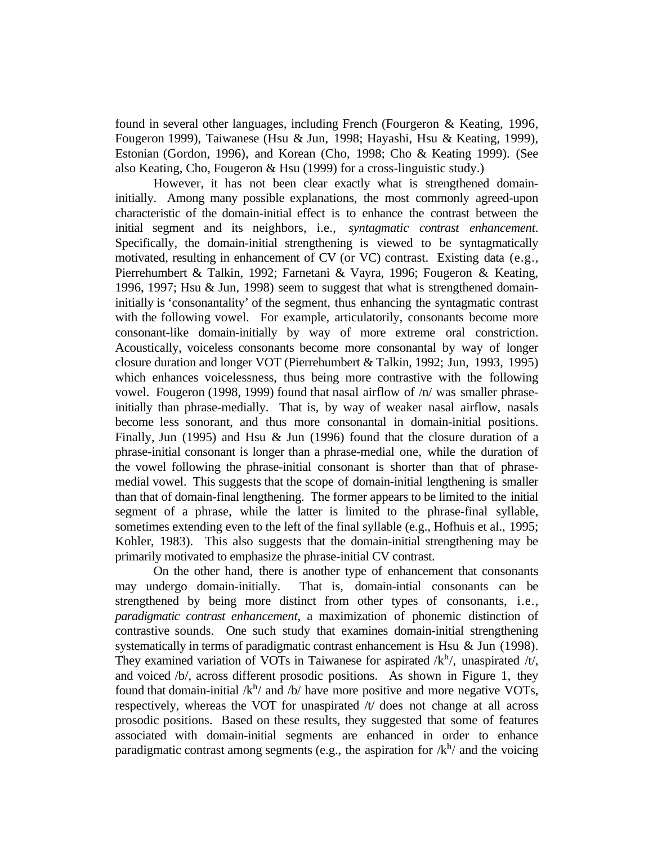found in several other languages, including French (Fourgeron & Keating, 1996, Fougeron 1999), Taiwanese (Hsu & Jun, 1998; Hayashi, Hsu & Keating, 1999), Estonian (Gordon, 1996), and Korean (Cho, 1998; Cho & Keating 1999). (See also Keating, Cho, Fougeron & Hsu (1999) for a cross-linguistic study.)

However, it has not been clear exactly what is strengthened domaininitially. Among many possible explanations, the most commonly agreed-upon characteristic of the domain-initial effect is to enhance the contrast between the initial segment and its neighbors, i.e., *syntagmatic contrast enhancement*. Specifically, the domain-initial strengthening is viewed to be syntagmatically motivated, resulting in enhancement of CV (or VC) contrast. Existing data (e.g., Pierrehumbert & Talkin, 1992; Farnetani & Vayra, 1996; Fougeron & Keating, 1996, 1997; Hsu & Jun, 1998) seem to suggest that what is strengthened domaininitially is 'consonantality' of the segment, thus enhancing the syntagmatic contrast with the following vowel. For example, articulatorily, consonants become more consonant-like domain-initially by way of more extreme oral constriction. Acoustically, voiceless consonants become more consonantal by way of longer closure duration and longer VOT (Pierrehumbert & Talkin, 1992; Jun, 1993, 1995) which enhances voicelessness, thus being more contrastive with the following vowel. Fougeron (1998, 1999) found that nasal airflow of /n/ was smaller phraseinitially than phrase-medially. That is, by way of weaker nasal airflow, nasals become less sonorant, and thus more consonantal in domain-initial positions. Finally, Jun (1995) and Hsu & Jun (1996) found that the closure duration of a phrase-initial consonant is longer than a phrase-medial one, while the duration of the vowel following the phrase-initial consonant is shorter than that of phrasemedial vowel. This suggests that the scope of domain-initial lengthening is smaller than that of domain-final lengthening. The former appears to be limited to the initial segment of a phrase, while the latter is limited to the phrase-final syllable, sometimes extending even to the left of the final syllable (e.g., Hofhuis et al., 1995; Kohler, 1983). This also suggests that the domain-initial strengthening may be primarily motivated to emphasize the phrase-initial CV contrast.

On the other hand, there is another type of enhancement that consonants may undergo domain-initially. That is, domain-intial consonants can be strengthened by being more distinct from other types of consonants, i.e., *paradigmatic contrast enhancement*, a maximization of phonemic distinction of contrastive sounds. One such study that examines domain-initial strengthening systematically in terms of paradigmatic contrast enhancement is Hsu & Jun (1998). They examined variation of VOTs in Taiwanese for aspirated  $/k<sup>h</sup>$ , unaspirated  $/t$ , and voiced /b/, across different prosodic positions. As shown in Figure 1, they found that domain-initial  $/k^h$  and  $/b$  have more positive and more negative VOTs, respectively, whereas the VOT for unaspirated  $/t$  does not change at all across prosodic positions. Based on these results, they suggested that some of features associated with domain-initial segments are enhanced in order to enhance paradigmatic contrast among segments (e.g., the aspiration for  $/k<sup>h</sup>/$  and the voicing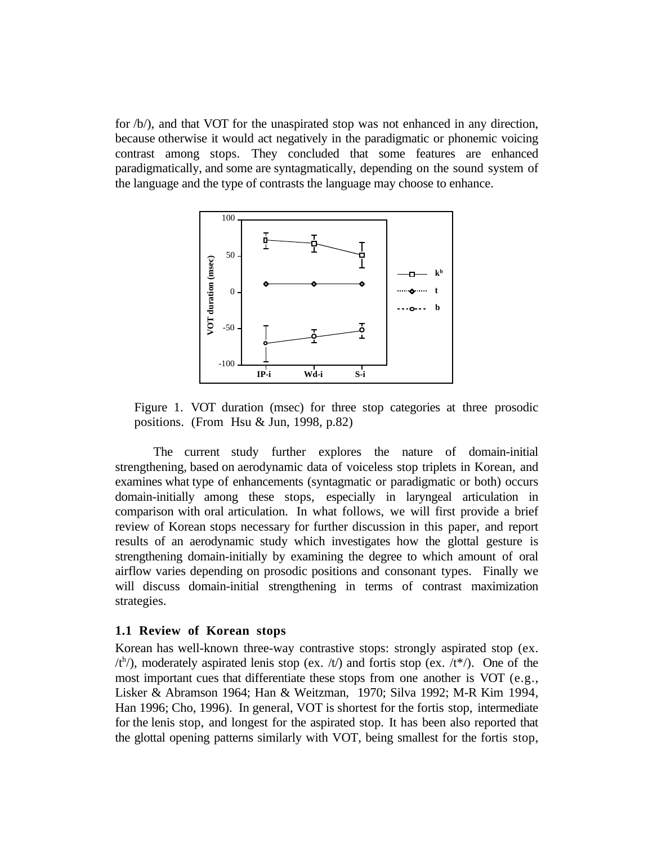for /b/), and that VOT for the unaspirated stop was not enhanced in any direction, because otherwise it would act negatively in the paradigmatic or phonemic voicing contrast among stops. They concluded that some features are enhanced paradigmatically, and some are syntagmatically, depending on the sound system of the language and the type of contrasts the language may choose to enhance.



Figure 1. VOT duration (msec) for three stop categories at three prosodic positions. (From Hsu  $&$  Jun, 1998, p.82)

The current study further explores the nature of domain-initial strengthening, based on aerodynamic data of voiceless stop triplets in Korean, and examines what type of enhancements (syntagmatic or paradigmatic or both) occurs domain-initially among these stops, especially in laryngeal articulation in comparison with oral articulation. In what follows, we will first provide a brief review of Korean stops necessary for further discussion in this paper, and report results of an aerodynamic study which investigates how the glottal gesture is strengthening domain-initially by examining the degree to which amount of oral airflow varies depending on prosodic positions and consonant types. Finally we will discuss domain-initial strengthening in terms of contrast maximization strategies.

## **1.1 Review of Korean stops**

Korean has well-known three-way contrastive stops: strongly aspirated stop (ex.  $/t<sup>h</sup>/$ , moderately aspirated lenis stop (ex. /t/) and fortis stop (ex. /t<sup>\*</sup>/). One of the most important cues that differentiate these stops from one another is VOT (e.g., Lisker & Abramson 1964; Han & Weitzman, 1970; Silva 1992; M-R Kim 1994, Han 1996; Cho, 1996). In general, VOT is shortest for the fortis stop, intermediate for the lenis stop, and longest for the aspirated stop. It has been also reported that the glottal opening patterns similarly with VOT, being smallest for the fortis stop,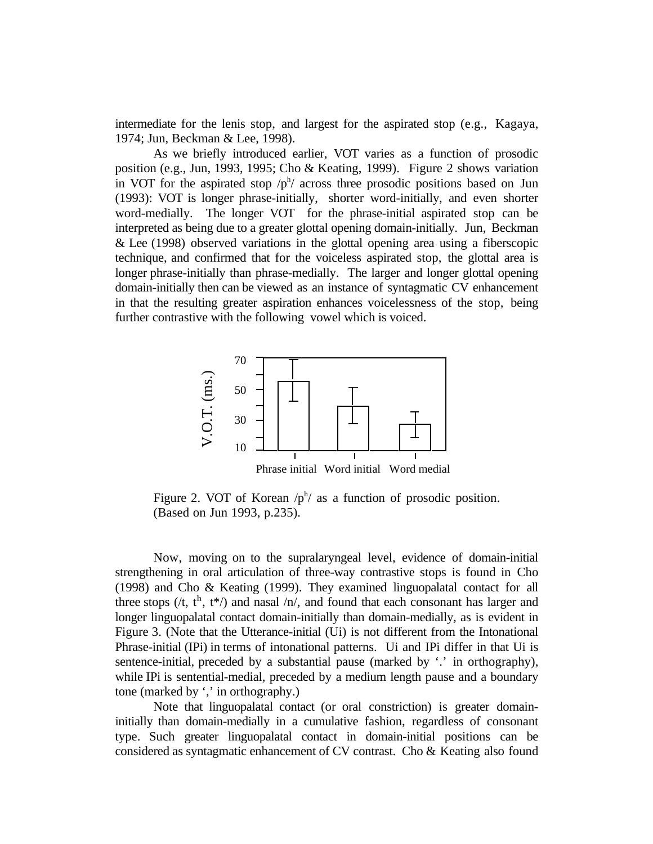intermediate for the lenis stop, and largest for the aspirated stop (e.g., Kagaya, 1974; Jun, Beckman & Lee, 1998).

As we briefly introduced earlier, VOT varies as a function of prosodic position (e.g., Jun, 1993, 1995; Cho & Keating, 1999). Figure 2 shows variation in VOT for the aspirated stop  $/p^h$  across three prosodic positions based on Jun (1993): VOT is longer phrase-initially, shorter word-initially, and even shorter word-medially. The longer VOT for the phrase-initial aspirated stop can be interpreted as being due to a greater glottal opening domain-initially. Jun, Beckman & Lee (1998) observed variations in the glottal opening area using a fiberscopic technique, and confirmed that for the voiceless aspirated stop, the glottal area is longer phrase-initially than phrase-medially. The larger and longer glottal opening domain-initially then can be viewed as an instance of syntagmatic CV enhancement in that the resulting greater aspiration enhances voicelessness of the stop, being further contrastive with the following vowel which is voiced.



Figure 2. VOT of Korean  $/p^h$  as a function of prosodic position. (Based on Jun 1993, p.235).

Now, moving on to the supralaryngeal level, evidence of domain-initial strengthening in oral articulation of three-way contrastive stops is found in Cho (1998) and Cho & Keating (1999). They examined linguopalatal contact for all three stops  $(t, t<sup>h</sup>, t<sup>*</sup>)$  and nasal  $/n/$ , and found that each consonant has larger and longer linguopalatal contact domain-initially than domain-medially, as is evident in Figure 3. (Note that the Utterance-initial (Ui) is not different from the Intonational Phrase-initial (IPi) in terms of intonational patterns. Ui and IPi differ in that Ui is sentence-initial, preceded by a substantial pause (marked by '.' in orthography), while IPi is sentential-medial, preceded by a medium length pause and a boundary tone (marked by ',' in orthography.)

Note that linguopalatal contact (or oral constriction) is greater domaininitially than domain-medially in a cumulative fashion, regardless of consonant type. Such greater linguopalatal contact in domain-initial positions can be considered as syntagmatic enhancement of CV contrast. Cho & Keating also found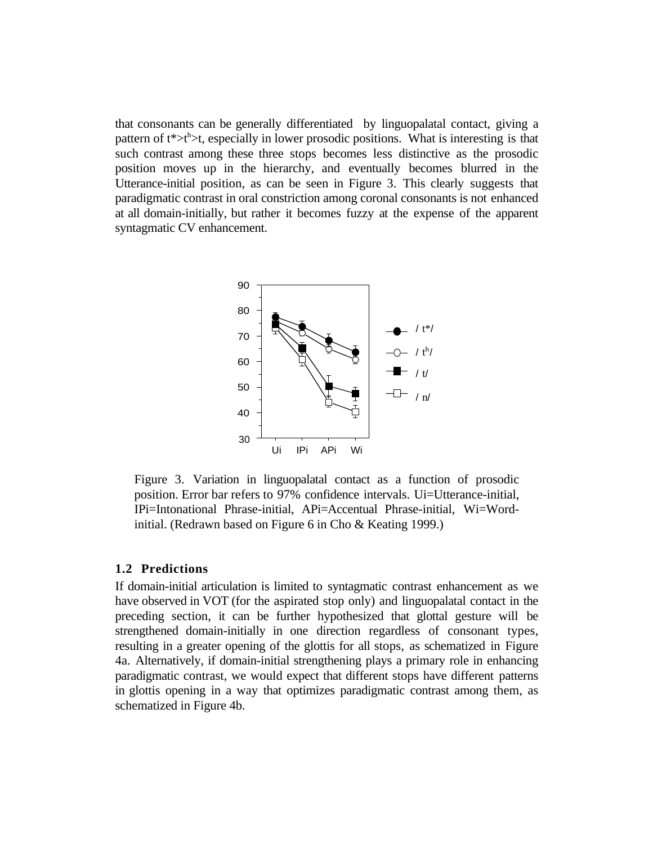that consonants can be generally differentiated by linguopalatal contact, giving a pattern of t<sup>\*</sup>>t<sup>h</sup>>t, especially in lower prosodic positions. What is interesting is that such contrast among these three stops becomes less distinctive as the prosodic position moves up in the hierarchy, and eventually becomes blurred in the Utterance-initial position, as can be seen in Figure 3. This clearly suggests that paradigmatic contrast in oral constriction among coronal consonants is not enhanced at all domain-initially, but rather it becomes fuzzy at the expense of the apparent syntagmatic CV enhancement.



Figure 3. Variation in linguopalatal contact as a function of prosodic position. Error bar refers to 97% confidence intervals. Ui=Utterance-initial, IPi=Intonational Phrase-initial, APi=Accentual Phrase-initial, Wi=Wordinitial. (Redrawn based on Figure 6 in Cho & Keating 1999.)

#### **1.2 Predictions**

If domain-initial articulation is limited to syntagmatic contrast enhancement as we have observed in VOT (for the aspirated stop only) and linguopalatal contact in the preceding section, it can be further hypothesized that glottal gesture will be strengthened domain-initially in one direction regardless of consonant types, resulting in a greater opening of the glottis for all stops, as schematized in Figure 4a. Alternatively, if domain-initial strengthening plays a primary role in enhancing paradigmatic contrast, we would expect that different stops have different patterns in glottis opening in a way that optimizes paradigmatic contrast among them, as schematized in Figure 4b.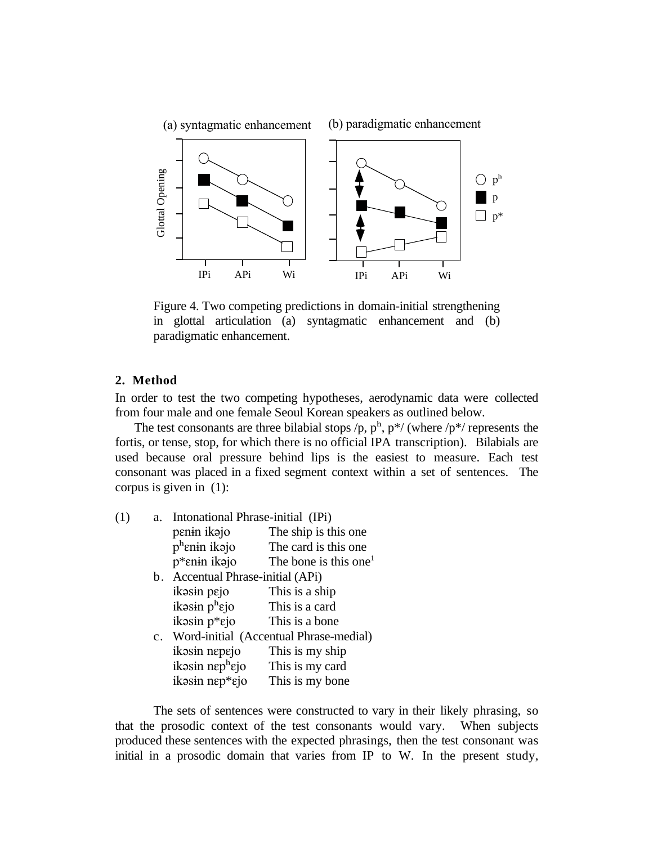

Figure 4. Two competing predictions in domain-initial strengthening in glottal articulation (a) syntagmatic enhancement and (b) paradigmatic enhancement.

## **2. Method**

In order to test the two competing hypotheses, aerodynamic data were collected from four male and one female Seoul Korean speakers as outlined below.

The test consonants are three bilabial stops  $/p$ ,  $p^h$ ,  $p^{*\prime}$  (where  $/p^{*\prime}$  represents the fortis, or tense, stop, for which there is no official IPA transcription). Bilabials are used because oral pressure behind lips is the easiest to measure. Each test consonant was placed in a fixed segment context within a set of sentences. The corpus is given in (1):

| (1) | a. | Intonational Phrase-initial (IPi)         |                                   |
|-----|----|-------------------------------------------|-----------------------------------|
|     |    | penin ikəjo                               | The ship is this one              |
|     |    | $p^h$ enin ikajo                          | The card is this one.             |
|     |    | $p*$ enin ikajo                           | The bone is this one <sup>1</sup> |
|     |    | b. Accentual Phrase-initial (APi)         |                                   |
|     |    | ikəsin pejo                               | This is a ship                    |
|     |    | ikəsin p <sup>h</sup> ejo                 | This is a card                    |
|     |    | ikasin p*ejo                              | This is a bone                    |
|     |    | c. Word-initial (Accentual Phrase-medial) |                                   |
|     |    | ikasin nepejo                             | This is my ship                   |
|     |    | ikasin nephejo                            | This is my card                   |
|     |    | ikəsin nep*ejo                            | This is my bone                   |

The sets of sentences were constructed to vary in their likely phrasing, so that the prosodic context of the test consonants would vary. When subjects produced these sentences with the expected phrasings, then the test consonant was initial in a prosodic domain that varies from IP to W. In the present study,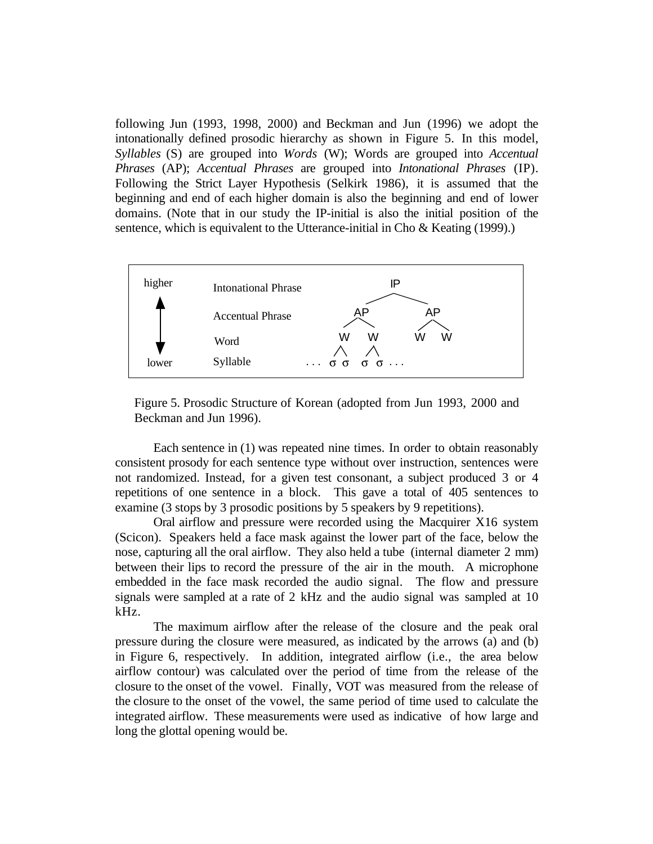following Jun (1993, 1998, 2000) and Beckman and Jun (1996) we adopt the intonationally defined prosodic hierarchy as shown in Figure 5. In this model, *Syllables* (S) are grouped into *Words* (W); Words are grouped into *Accentual Phrases* (AP); *Accentual Phrases* are grouped into *Intonational Phrases* (IP). Following the Strict Layer Hypothesis (Selkirk 1986), it is assumed that the beginning and end of each higher domain is also the beginning and end of lower domains. (Note that in our study the IP-initial is also the initial position of the sentence, which is equivalent to the Utterance-initial in Cho & Keating (1999).)



Figure 5. Prosodic Structure of Korean (adopted from Jun 1993, 2000 and Beckman and Jun 1996).

Each sentence in (1) was repeated nine times. In order to obtain reasonably consistent prosody for each sentence type without over instruction, sentences were not randomized. Instead, for a given test consonant, a subject produced 3 or 4 repetitions of one sentence in a block. This gave a total of 405 sentences to examine (3 stops by 3 prosodic positions by 5 speakers by 9 repetitions).

Oral airflow and pressure were recorded using the Macquirer X16 system (Scicon). Speakers held a face mask against the lower part of the face, below the nose, capturing all the oral airflow. They also held a tube (internal diameter 2 mm) between their lips to record the pressure of the air in the mouth. A microphone embedded in the face mask recorded the audio signal. The flow and pressure signals were sampled at a rate of 2 kHz and the audio signal was sampled at 10 kHz.

The maximum airflow after the release of the closure and the peak oral pressure during the closure were measured, as indicated by the arrows (a) and (b) in Figure 6, respectively. In addition, integrated airflow (i.e., the area below airflow contour) was calculated over the period of time from the release of the closure to the onset of the vowel. Finally, VOT was measured from the release of the closure to the onset of the vowel, the same period of time used to calculate the integrated airflow. These measurements were used as indicative of how large and long the glottal opening would be.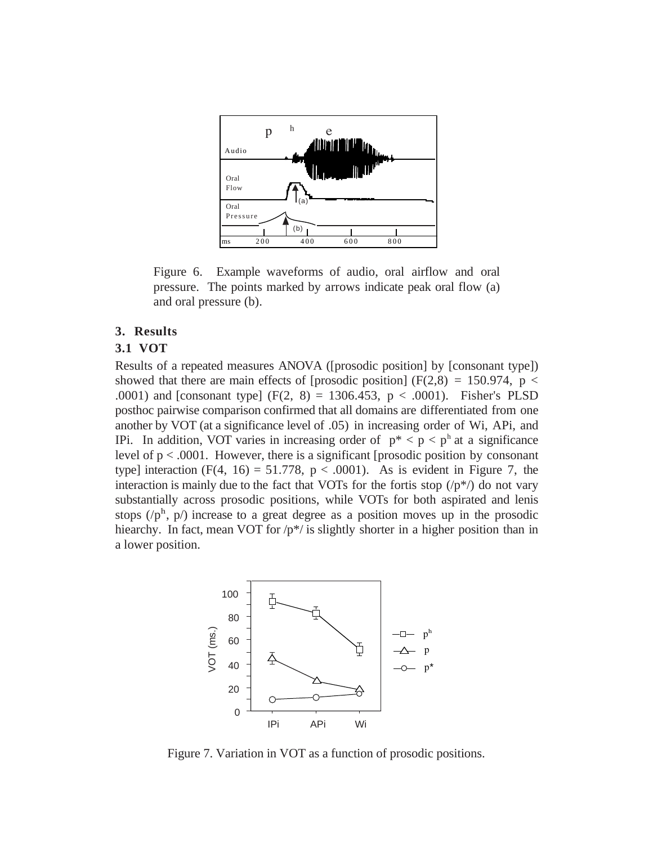

Figure 6. Example waveforms of audio, oral airflow and oral pressure. The points marked by arrows indicate peak oral flow (a) and oral pressure (b).

### **3. Results**

### **3.1 VOT**

Results of a repeated measures ANOVA ([prosodic position] by [consonant type]) showed that there are main effects of [prosodic position] ( $F(2,8) = 150.974$ , p < .0001) and [consonant type]  $(F(2, 8) = 1306.453, p < .0001)$ . Fisher's PLSD posthoc pairwise comparison confirmed that all domains are differentiated from one another by VOT (at a significance level of .05) in increasing order of Wi, APi, and IPi. In addition, VOT varies in increasing order of  $p^* < p < p^h$  at a significance level of  $p < .0001$ . However, there is a significant [prosodic position by consonant type] interaction  $(F(4, 16) = 51.778, p < .0001)$ . As is evident in Figure 7, the interaction is mainly due to the fact that VOTs for the fortis stop  $(p^*/)$  do not vary substantially across prosodic positions, while VOTs for both aspirated and lenis stops ( $/p<sup>h</sup>$ ,  $p$ ) increase to a great degree as a position moves up in the prosodic hiearchy. In fact, mean VOT for  $/p^*$  is slightly shorter in a higher position than in a lower position.

![](_page_7_Figure_5.jpeg)

Figure 7. Variation in VOT as a function of prosodic positions.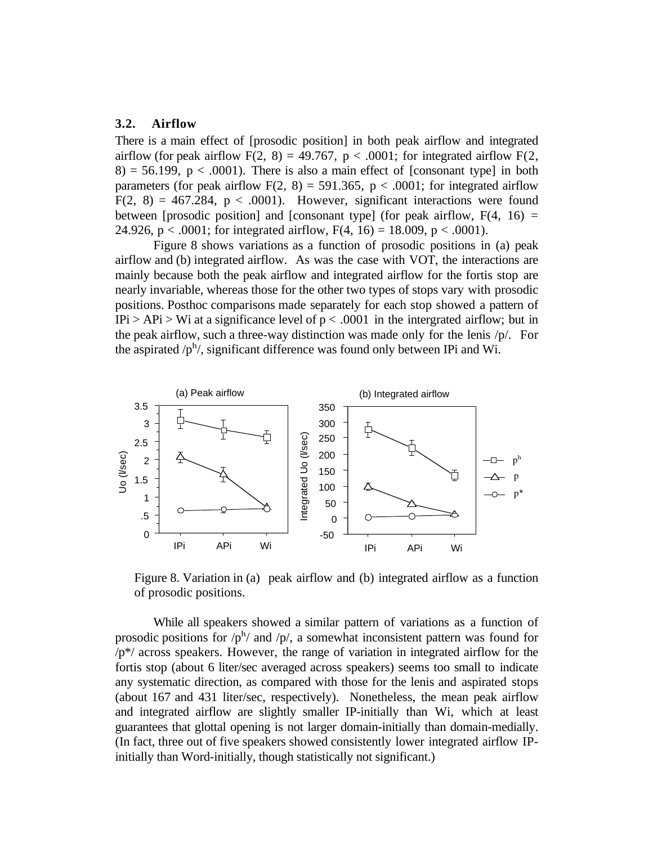#### **3.2. Airflow**

There is a main effect of [prosodic position] in both peak airflow and integrated airflow (for peak airflow F(2, 8) = 49.767,  $p < .0001$ ; for integrated airflow F(2,  $8$ ) = 56.199, p < .0001). There is also a main effect of [consonant type] in both parameters (for peak airflow  $F(2, 8) = 591.365$ ,  $p < .0001$ ; for integrated airflow  $F(2, 8) = 467.284$ ,  $p < .0001$ ). However, significant interactions were found between [prosodic position] and [consonant type] (for peak airflow,  $F(4, 16) =$ 24.926,  $p < .0001$ ; for integrated airflow,  $F(4, 16) = 18.009$ ,  $p < .0001$ ).

Figure 8 shows variations as a function of prosodic positions in (a) peak airflow and (b) integrated airflow. As was the case with VOT, the interactions are mainly because both the peak airflow and integrated airflow for the fortis stop are nearly invariable, whereas those for the other two types of stops vary with prosodic positions. Posthoc comparisons made separately for each stop showed a pattern of IPi > APi > Wi at a significance level of  $p < .0001$  in the intergrated airflow; but in the peak airflow, such a three-way distinction was made only for the lenis /p/. For the aspirated  $/p^h$ , significant difference was found only between IPi and Wi.

![](_page_8_Figure_3.jpeg)

Figure 8. Variation in (a) peak airflow and (b) integrated airflow as a function of prosodic positions.

While all speakers showed a similar pattern of variations as a function of prosodic positions for  $/p^h$  and  $/p'$ , a somewhat inconsistent pattern was found for  $/p^*$  across speakers. However, the range of variation in integrated airflow for the fortis stop (about 6 liter/sec averaged across speakers) seems too small to indicate any systematic direction, as compared with those for the lenis and aspirated stops (about 167 and 431 liter/sec, respectively). Nonetheless, the mean peak airflow and integrated airflow are slightly smaller IP-initially than Wi, which at least guarantees that glottal opening is not larger domain-initially than domain-medially. (In fact, three out of five speakers showed consistently lower integrated airflow IPinitially than Word-initially, though statistically not significant.)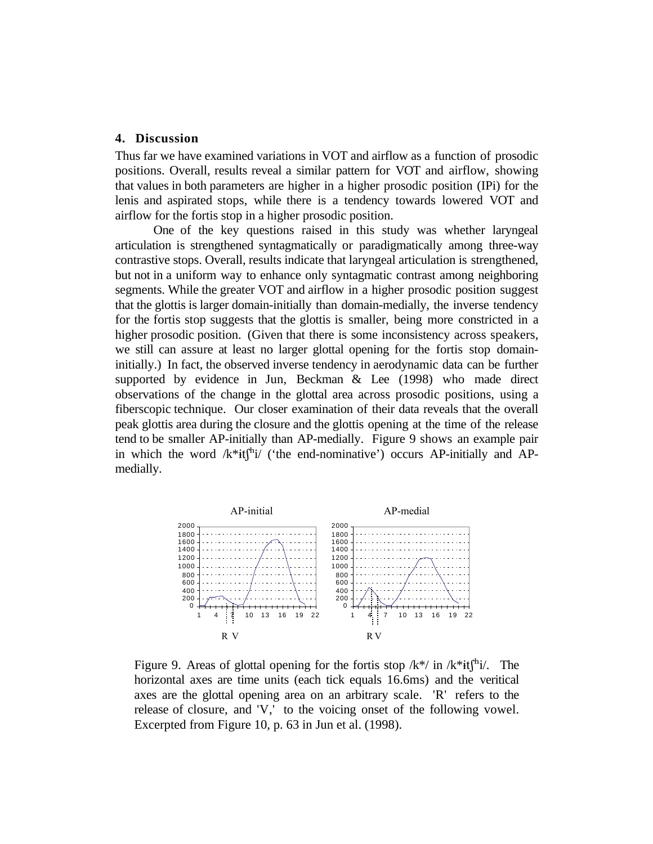## **4. Discussion**

Thus far we have examined variations in VOT and airflow as a function of prosodic positions. Overall, results reveal a similar pattern for VOT and airflow, showing that values in both parameters are higher in a higher prosodic position (IPi) for the lenis and aspirated stops, while there is a tendency towards lowered VOT and airflow for the fortis stop in a higher prosodic position.

One of the key questions raised in this study was whether laryngeal articulation is strengthened syntagmatically or paradigmatically among three-way contrastive stops. Overall, results indicate that laryngeal articulation is strengthened, but not in a uniform way to enhance only syntagmatic contrast among neighboring segments. While the greater VOT and airflow in a higher prosodic position suggest that the glottis is larger domain-initially than domain-medially, the inverse tendency for the fortis stop suggests that the glottis is smaller, being more constricted in a higher prosodic position. (Given that there is some inconsistency across speakers, we still can assure at least no larger glottal opening for the fortis stop domaininitially.) In fact, the observed inverse tendency in aerodynamic data can be further supported by evidence in Jun, Beckman & Lee (1998) who made direct observations of the change in the glottal area across prosodic positions, using a fiberscopic technique. Our closer examination of their data reveals that the overall peak glottis area during the closure and the glottis opening at the time of the release tend to be smaller AP-initially than AP-medially. Figure 9 shows an example pair in which the word  $\mathbb{A}^*$ it $\int^h$ i/ ('the end-nominative') occurs AP-initially and APmedially.

![](_page_9_Figure_3.jpeg)

Figure 9. Areas of glottal opening for the fortis stop  $\frac{1}{k^*i}$  in  $\frac{1}{k^*i}$  if  $\frac{1}{k^*i}$ . The horizontal axes are time units (each tick equals 16.6ms) and the veritical axes are the glottal opening area on an arbitrary scale. 'R' refers to the release of closure, and 'V,' to the voicing onset of the following vowel. Excerpted from Figure 10, p. 63 in Jun et al. (1998).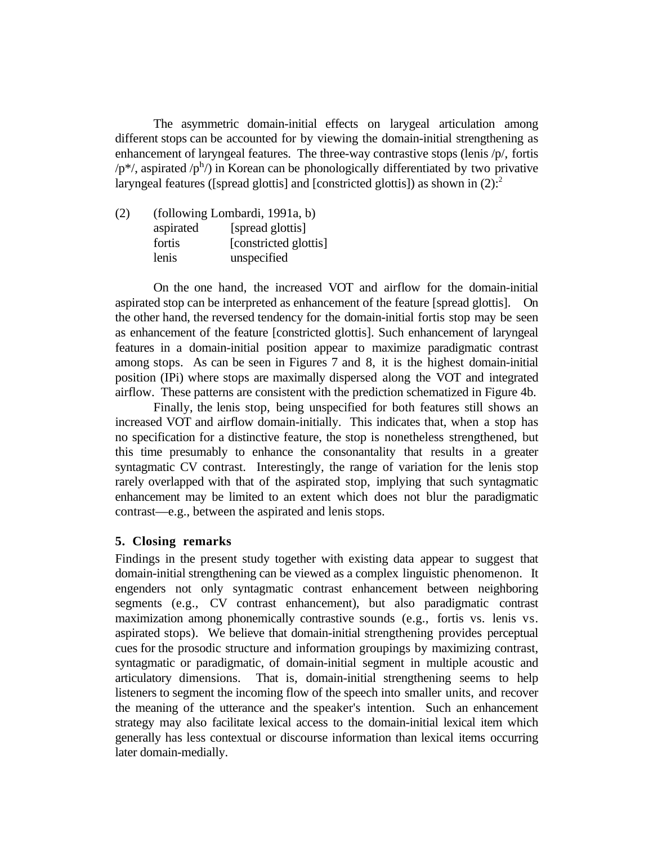The asymmetric domain-initial effects on larygeal articulation among different stops can be accounted for by viewing the domain-initial strengthening as enhancement of laryngeal features. The three-way contrastive stops (lenis /p/, fortis  $/p^*/$ , aspirated  $/p^h$ ) in Korean can be phonologically differentiated by two privative laryngeal features ([spread glottis] and [constricted glottis]) as shown in  $(2)$ :<sup>2</sup>

(2) (following Lombardi, 1991a, b) aspirated [spread glottis] fortis [constricted glottis] lenis unspecified

On the one hand, the increased VOT and airflow for the domain-initial aspirated stop can be interpreted as enhancement of the feature [spread glottis]. On the other hand, the reversed tendency for the domain-initial fortis stop may be seen as enhancement of the feature [constricted glottis]. Such enhancement of laryngeal features in a domain-initial position appear to maximize paradigmatic contrast among stops. As can be seen in Figures 7 and 8, it is the highest domain-initial position (IPi) where stops are maximally dispersed along the VOT and integrated airflow. These patterns are consistent with the prediction schematized in Figure 4b.

Finally, the lenis stop, being unspecified for both features still shows an increased VOT and airflow domain-initially. This indicates that, when a stop has no specification for a distinctive feature, the stop is nonetheless strengthened, but this time presumably to enhance the consonantality that results in a greater syntagmatic CV contrast. Interestingly, the range of variation for the lenis stop rarely overlapped with that of the aspirated stop, implying that such syntagmatic enhancement may be limited to an extent which does not blur the paradigmatic contrast—e.g., between the aspirated and lenis stops.

# **5. Closing remarks**

Findings in the present study together with existing data appear to suggest that domain-initial strengthening can be viewed as a complex linguistic phenomenon. It engenders not only syntagmatic contrast enhancement between neighboring segments (e.g., CV contrast enhancement), but also paradigmatic contrast maximization among phonemically contrastive sounds (e.g., fortis vs. lenis vs. aspirated stops). We believe that domain-initial strengthening provides perceptual cues for the prosodic structure and information groupings by maximizing contrast, syntagmatic or paradigmatic, of domain-initial segment in multiple acoustic and articulatory dimensions. That is, domain-initial strengthening seems to help listeners to segment the incoming flow of the speech into smaller units, and recover the meaning of the utterance and the speaker's intention. Such an enhancement strategy may also facilitate lexical access to the domain-initial lexical item which generally has less contextual or discourse information than lexical items occurring later domain-medially.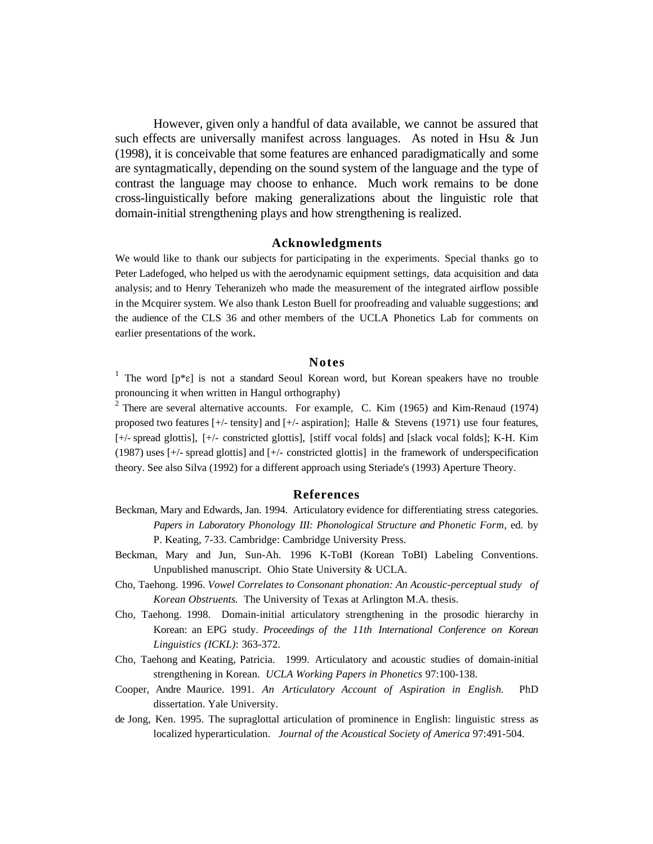However, given only a handful of data available, we cannot be assured that such effects are universally manifest across languages. As noted in Hsu & Jun (1998), it is conceivable that some features are enhanced paradigmatically and some are syntagmatically, depending on the sound system of the language and the type of contrast the language may choose to enhance. Much work remains to be done cross-linguistically before making generalizations about the linguistic role that domain-initial strengthening plays and how strengthening is realized.

#### **Acknowledgments**

We would like to thank our subjects for participating in the experiments. Special thanks go to Peter Ladefoged, who helped us with the aerodynamic equipment settings, data acquisition and data analysis; and to Henry Teheranizeh who made the measurement of the integrated airflow possible in the Mcquirer system. We also thank Leston Buell for proofreading and valuable suggestions; and the audience of the CLS 36 and other members of the UCLA Phonetics Lab for comments on earlier presentations of the work.

### **Notes**

<sup>1</sup> The word  $[p^* \varepsilon]$  is not a standard Seoul Korean word, but Korean speakers have no trouble pronouncing it when written in Hangul orthography)

<sup>2</sup> There are several alternative accounts. For example, C. Kim (1965) and Kim-Renaud (1974) proposed two features  $[+/$ - tensity] and  $[+/$ - aspiration]; Halle & Stevens (1971) use four features, [+/- spread glottis], [+/- constricted glottis], [stiff vocal folds] and [slack vocal folds]; K-H. Kim (1987) uses [+/- spread glottis] and [+/- constricted glottis] in the framework of underspecification theory. See also Silva (1992) for a different approach using Steriade's (1993) Aperture Theory.

#### **References**

- Beckman, Mary and Edwards, Jan. 1994. Articulatory evidence for differentiating stress categories. *Papers in Laboratory Phonology III: Phonological Structure and Phonetic Form*, ed. by P. Keating, 7-33. Cambridge: Cambridge University Press.
- Beckman, Mary and Jun, Sun-Ah. 1996 K-ToBI (Korean ToBI) Labeling Conventions. Unpublished manuscript. Ohio State University & UCLA.
- Cho, Taehong. 1996. *Vowel Correlates to Consonant phonation: An Acoustic-perceptual study of Korean Obstruents.* The University of Texas at Arlington M.A. thesis.
- Cho, Taehong. 1998. Domain-initial articulatory strengthening in the prosodic hierarchy in Korean: an EPG study. *Proceedings of the 11th International Conference on Korean Linguistics (ICKL)*: 363-372.
- Cho, Taehong and Keating, Patricia. 1999. Articulatory and acoustic studies of domain-initial strengthening in Korean. *UCLA Working Papers in Phonetics* 97:100-138.
- Cooper, Andre Maurice. 1991. *An Articulatory Account of Aspiration in English.* PhD dissertation. Yale University.
- de Jong, Ken. 1995. The supraglottal articulation of prominence in English: linguistic stress as localized hyperarticulation. *Journal of the Acoustical Society of America* 97:491-504.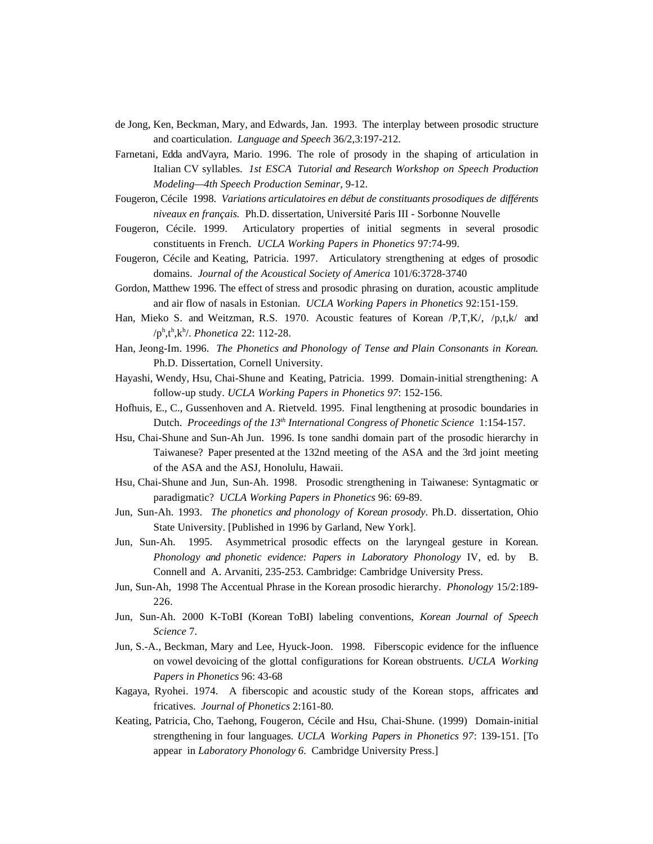- de Jong, Ken, Beckman, Mary, and Edwards, Jan. 1993. The interplay between prosodic structure and coarticulation. *Language and Speech* 36/2,3:197-212.
- Farnetani, Edda andVayra, Mario. 1996. The role of prosody in the shaping of articulation in Italian CV syllables. *1st ESCA Tutorial and Research Workshop on Speech Production Modeling—4th Speech Production Seminar*, 9-12.
- Fougeron, Cécile 1998. *Variations articulatoires en début de constituants prosodiques de différents niveaux en français.* Ph.D. dissertation, Université Paris III - Sorbonne Nouvelle
- Fougeron, Cécile. 1999. Articulatory properties of initial segments in several prosodic constituents in French. *UCLA Working Papers in Phonetics* 97:74-99.
- Fougeron, Cécile and Keating, Patricia. 1997. Articulatory strengthening at edges of prosodic domains. *Journal of the Acoustical Society of America* 101/6:3728-3740
- Gordon, Matthew 1996. The effect of stress and prosodic phrasing on duration, acoustic amplitude and air flow of nasals in Estonian. *UCLA Working Papers in Phonetics* 92:151-159.
- Han, Mieko S. and Weitzman, R.S. 1970. Acoustic features of Korean /P,T,K/, /p,t,k/ and /p<sup>h</sup>,t<sup>h</sup>,k<sup>h</sup>/. *Phonetica* 22: 112-28.
- Han, Jeong-Im. 1996. *The Phonetics and Phonology of Tense and Plain Consonants in Korean.* Ph.D. Dissertation, Cornell University.
- Hayashi, Wendy, Hsu, Chai-Shune and Keating, Patricia. 1999. Domain-initial strengthening: A follow-up study. *UCLA Working Papers in Phonetics 97*: 152-156.
- Hofhuis, E., C., Gussenhoven and A. Rietveld. 1995. Final lengthening at prosodic boundaries in Dutch. *Proceedings of the 13th International Congress of Phonetic Science* 1:154-157.
- Hsu, Chai-Shune and Sun-Ah Jun. 1996. Is tone sandhi domain part of the prosodic hierarchy in Taiwanese? Paper presented at the 132nd meeting of the ASA and the 3rd joint meeting of the ASA and the ASJ, Honolulu, Hawaii.
- Hsu, Chai-Shune and Jun, Sun-Ah. 1998. Prosodic strengthening in Taiwanese: Syntagmatic or paradigmatic? *UCLA Working Papers in Phonetics* 96: 69-89.
- Jun, Sun-Ah. 1993. *The phonetics and phonology of Korean prosody*. Ph.D. dissertation, Ohio State University. [Published in 1996 by Garland, New York].
- Jun, Sun-Ah. 1995. Asymmetrical prosodic effects on the laryngeal gesture in Korean. *Phonology and phonetic evidence: Papers in Laboratory Phonology* IV, ed. by B. Connell and A. Arvaniti, 235-253. Cambridge: Cambridge University Press.
- Jun, Sun-Ah, 1998 The Accentual Phrase in the Korean prosodic hierarchy. *Phonology* 15/2:189- 226.
- Jun, Sun-Ah. 2000 K-ToBI (Korean ToBI) labeling conventions, *Korean Journal of Speech Science* 7.
- Jun, S.-A., Beckman, Mary and Lee, Hyuck-Joon. 1998. Fiberscopic evidence for the influence on vowel devoicing of the glottal configurations for Korean obstruents. *UCLA Working Papers in Phonetics* 96: 43-68
- Kagaya, Ryohei. 1974. A fiberscopic and acoustic study of the Korean stops, affricates and fricatives. *Journal of Phonetics* 2:161-80.
- Keating, Patricia, Cho, Taehong, Fougeron, Cécile and Hsu, Chai-Shune. (1999) Domain-initial strengthening in four languages*. UCLA Working Papers in Phonetics 97*: 139-151. [To appear in *Laboratory Phonology 6*. Cambridge University Press.]